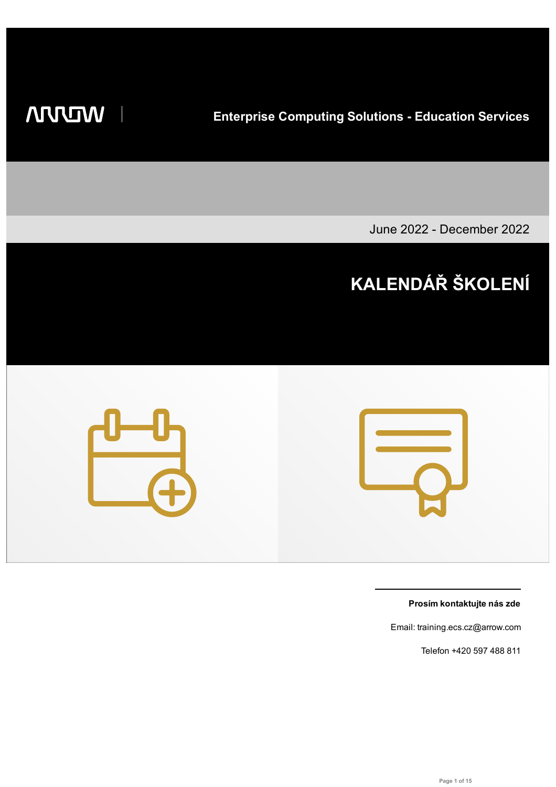**WIDDIN** 

**Enterprise Computing Solutions - Education Services**

June 2022 - December 2022

# **KALENDÁŘ ŠKOLENÍ**



**Prosím kontaktujte nás zde**

Email: training.ecs.cz@arrow.com

Telefon +420 597 488 811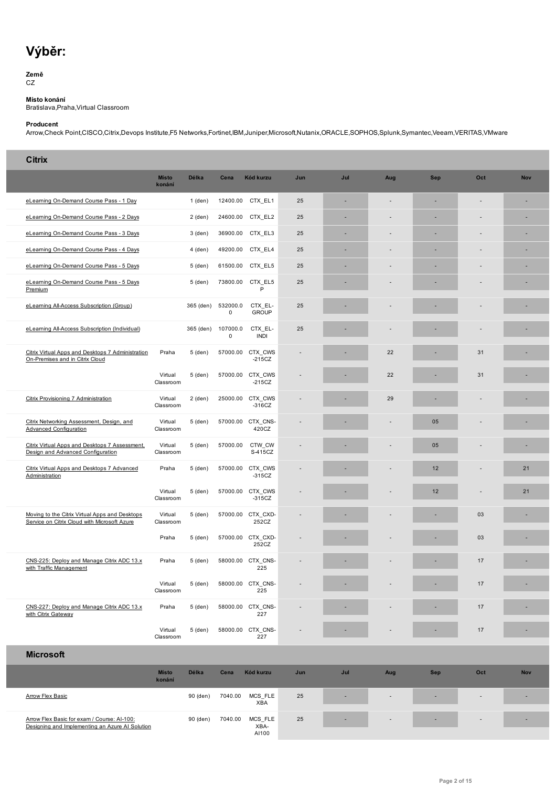#### **Země** CZ

**Místo konání**

Bratislava,Praha,Virtual Classroom

### **Producent**

Arrow,Check Point,CISCO,Citrix,Devops Institute,F5 Networks,Fortinet,IBM,Juniper,Microsoft,Nutanix,ORACLE,SOPHOS,Splunk,Symantec,Veeam,VERITAS,VMware

| <b>Citrix</b>                                                                                  |                        |              |                         |                              |     |     |     |            |     |            |
|------------------------------------------------------------------------------------------------|------------------------|--------------|-------------------------|------------------------------|-----|-----|-----|------------|-----|------------|
|                                                                                                | <b>Místo</b><br>konání | <b>Délka</b> | Cena                    | Kód kurzu                    | Jun | Jul | Aug | <b>Sep</b> | Oct | <b>Nov</b> |
| eLearning On-Demand Course Pass - 1 Day                                                        |                        | $1$ (den)    | 12400.00                | CTX EL1                      | 25  |     |     | ä,         |     |            |
| eLearning On-Demand Course Pass - 2 Days                                                       |                        | $2$ (den)    | 24600.00                | CTX EL2                      | 25  | ٠   |     | ä,         |     | ٠          |
| eLearning On-Demand Course Pass - 3 Days                                                       |                        | 3 (den)      | 36900.00                | CTX EL3                      | 25  |     |     |            |     |            |
| eLearning On-Demand Course Pass - 4 Days                                                       |                        | 4 (den)      | 49200.00                | CTX EL4                      | 25  |     |     | ×,         |     |            |
| eLearning On-Demand Course Pass - 5 Days                                                       |                        | 5 (den)      | 61500.00                | CTX EL5                      | 25  | ٠   |     | ä,         |     |            |
| eLearning On-Demand Course Pass - 5 Days<br>Premium                                            |                        | 5 (den)      | 73800.00                | CTX EL5<br>P                 | 25  |     |     |            |     |            |
| eLearning All-Access Subscription (Group)                                                      |                        | 365 (den)    | 532000.0<br>$\mathbf 0$ | CTX EL-<br><b>GROUP</b>      | 25  |     |     |            |     |            |
| eLearning All-Access Subscription (Individual)                                                 |                        | 365 (den)    | 107000.0<br>$\mathbf 0$ | CTX EL-<br><b>INDI</b>       | 25  |     |     |            |     |            |
| Citrix Virtual Apps and Desktops 7 Administration<br>On-Premises and in Citrix Cloud           | Praha                  | 5 (den)      |                         | 57000.00 CTX CWS<br>$-215CZ$ |     |     | 22  |            | 31  |            |
|                                                                                                | Virtual<br>Classroom   | 5 (den)      |                         | 57000.00 CTX_CWS<br>$-215CZ$ |     |     | 22  |            | 31  |            |
| Citrix Provisioning 7 Administration                                                           | Virtual<br>Classroom   | $2$ (den)    |                         | 25000.00 CTX CWS<br>$-316CZ$ |     |     | 29  |            |     |            |
| Citrix Networking Assessment, Design, and<br>Advanced Configuration                            | Virtual<br>Classroom   | 5 (den)      |                         | 57000.00 CTX CNS-<br>420CZ   |     |     |     | 05         |     |            |
| Citrix Virtual Apps and Desktops 7 Assessment,<br>Design and Advanced Configuration            | Virtual<br>Classroom   | 5 (den)      | 57000.00                | CTW_CW<br>S-415CZ            |     |     |     | 05         |     |            |
| Citrix Virtual Apps and Desktops 7 Advanced<br>Administration                                  | Praha                  | 5 (den)      | 57000.00                | CTX CWS<br>$-315CZ$          |     |     |     | 12         |     | 21         |
|                                                                                                | Virtual<br>Classroom   | 5 (den)      | 57000.00                | CTX CWS<br>$-315CZ$          |     |     |     | 12         |     | 21         |
| Moving to the Citrix Virtual Apps and Desktops<br>Service on Citrix Cloud with Microsoft Azure | Virtual<br>Classroom   | 5 (den)      |                         | 57000.00 CTX CXD-<br>252CZ   |     |     |     |            | 03  |            |
|                                                                                                | Praha                  | 5 (den)      |                         | 57000.00 CTX CXD-<br>252CZ   |     |     |     |            | 03  |            |
| CNS-225: Deploy and Manage Citrix ADC 13.x<br>with Traffic Management                          | Praha                  | 5 (den)      |                         | 58000.00 CTX CNS-<br>225     |     |     |     |            | 17  | ٠          |
|                                                                                                | Virtual<br>Classroom   | 5 (den)      |                         | 58000.00 CTX_CNS-<br>225     |     |     |     |            | 17  |            |
| CNS-227: Deploy and Manage Citrix ADC 13.x<br>with Citrix Gateway                              | Praha                  | 5 (den)      |                         | 58000.00 CTX CNS-<br>227     |     |     |     |            | 17  |            |
|                                                                                                | Virtual<br>Classroom   | 5 (den)      |                         | 58000.00 CTX_CNS-<br>227     |     |     |     |            | 17  |            |
| <b>Microsoft</b>                                                                               |                        |              |                         |                              |     |     |     |            |     |            |
|                                                                                                | <b>Místo</b><br>konání | Délka        | Cena                    | Kód kurzu                    | Jun | Jul | Aug | <b>Sep</b> | Oct | <b>Nov</b> |
| <b>Arrow Flex Basic</b>                                                                        |                        | 90 (den)     | 7040.00                 | MCS_FLE<br>XBA               | 25  |     |     |            |     | ٠          |
| Arrow Flex Basic for exam / Course: Al-100:<br>Designing and Implementing an Azure AI Solution |                        | 90 (den)     | 7040.00                 | MCS_FLE<br>XBA-<br>AI100     | 25  |     |     |            |     |            |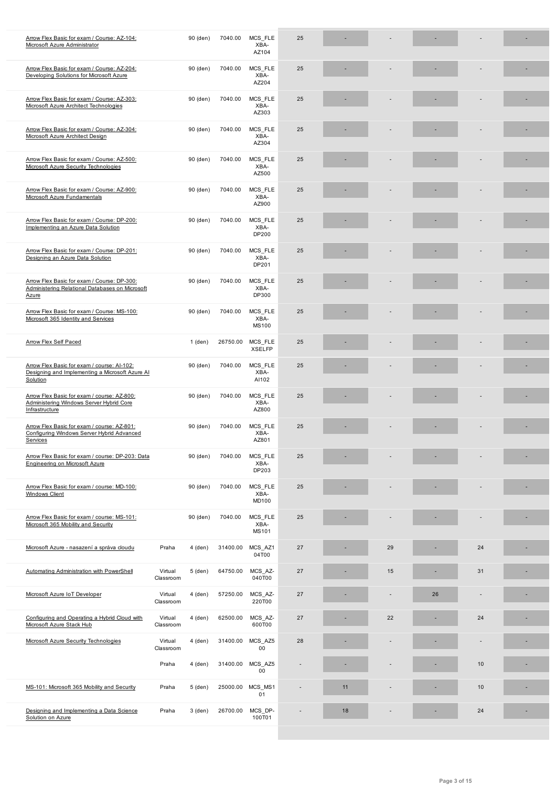|                                                                                                            |                      |           |          | AZ104                           |    |    |    |    |    |  |
|------------------------------------------------------------------------------------------------------------|----------------------|-----------|----------|---------------------------------|----|----|----|----|----|--|
| Arrow Flex Basic for exam / Course: AZ-204:<br>Developing Solutions for Microsoft Azure                    |                      | 90 (den)  | 7040.00  | MCS_FLE<br>XBA-<br>AZ204        | 25 |    |    |    |    |  |
| Arrow Flex Basic for exam / Course: AZ-303:<br>Microsoft Azure Architect Technologies                      |                      | 90 (den)  | 7040.00  | MCS FLE<br>XBA-<br>AZ303        | 25 |    |    |    |    |  |
| Arrow Flex Basic for exam / Course: AZ-304:<br>Microsoft Azure Architect Design                            |                      | 90 (den)  | 7040.00  | MCS_FLE<br>XBA-<br>AZ304        | 25 |    |    |    |    |  |
| Arrow Flex Basic for exam / Course: AZ-500:<br>Microsoft Azure Security Technologies                       |                      | 90 (den)  | 7040.00  | MCS FLE<br>XBA-<br>AZ500        | 25 |    |    |    |    |  |
| Arrow Flex Basic for exam / Course: AZ-900:<br>Microsoft Azure Fundamentals                                |                      | 90 (den)  | 7040.00  | MCS_FLE<br>XBA-<br>AZ900        | 25 |    |    |    |    |  |
| Arrow Flex Basic for exam / Course: DP-200:<br>Implementing an Azure Data Solution                         |                      | 90 (den)  | 7040.00  | MCS FLE<br>XBA-<br>DP200        | 25 |    |    |    |    |  |
| Arrow Flex Basic for exam / Course: DP-201:<br>Designing an Azure Data Solution                            |                      | 90 (den)  | 7040.00  | MCS_FLE<br>XBA-<br>DP201        | 25 |    |    |    |    |  |
| Arrow Flex Basic for exam / Course: DP-300:<br>Administering Relational Databases on Microsoft<br>Azure    |                      | 90 (den)  | 7040.00  | MCS FLE<br>XBA-<br>DP300        | 25 |    |    |    |    |  |
| Arrow Flex Basic for exam / Course: MS-100:<br>Microsoft 365 Identity and Services                         |                      | 90 (den)  | 7040.00  | MCS FLE<br>XBA-<br><b>MS100</b> | 25 |    |    |    |    |  |
| <b>Arrow Flex Self Paced</b>                                                                               |                      | $1$ (den) | 26750.00 | MCS_FLE<br><b>XSELFP</b>        | 25 |    |    |    |    |  |
| Arrow Flex Basic for exam / course: AI-102:<br>Designing and Implementing a Microsoft Azure AI<br>Solution |                      | 90 (den)  | 7040.00  | MCS_FLE<br>XBA-<br>AI102        | 25 |    |    |    |    |  |
| Arrow Flex Basic for exam / course: AZ-800:<br>Administering Windows Server Hybrid Core<br>Infrastructure  |                      | 90 (den)  | 7040.00  | MCS FLE<br>XBA-<br>AZ800        | 25 |    |    |    |    |  |
| Arrow Flex Basic for exam / course: AZ-801:<br>Configuring Windows Server Hybrid Advanced<br>Services      |                      | 90 (den)  | 7040.00  | MCS_FLE<br>XBA-<br>AZ801        | 25 |    |    |    |    |  |
| Arrow Flex Basic for exam / course: DP-203: Data<br><b>Engineering on Microsoft Azure</b>                  |                      | 90 (den)  | 7040.00  | MCS_FLE<br>XBA-<br>DP203        | 25 |    |    |    |    |  |
| Arrow Flex Basic for exam / course: MD-100:<br><b>Windows Client</b>                                       |                      | 90 (den)  | 7040.00  | MCS FLE<br>XBA-<br>MD100        | 25 |    |    |    |    |  |
| Arrow Flex Basic for exam / course: MS-101:<br>Microsoft 365 Mobility and Security                         |                      | 90 (den)  | 7040.00  | MCS FLE<br>XBA-<br>MS101        | 25 |    |    |    |    |  |
| Microsoft Azure - nasazení a správa cloudu                                                                 | Praha                | 4 (den)   | 31400.00 | MCS_AZ1<br>04T00                | 27 |    | 29 |    | 24 |  |
| Automating Administration with PowerShell                                                                  | Virtual<br>Classroom | 5 (den)   | 64750.00 | MCS_AZ-<br>040T00               | 27 |    | 15 |    | 31 |  |
| Microsoft Azure IoT Developer                                                                              | Virtual<br>Classroom | 4 (den)   | 57250.00 | MCS_AZ-<br>220T00               | 27 |    |    | 26 |    |  |
| Configuring and Operating a Hybrid Cloud with<br>Microsoft Azure Stack Hub                                 | Virtual<br>Classroom | 4 (den)   | 62500.00 | MCS_AZ-<br>600T00               | 27 |    | 22 |    | 24 |  |
| Microsoft Azure Security Technologies                                                                      | Virtual<br>Classroom | $4$ (den) | 31400.00 | MCS_AZ5<br>00                   | 28 |    |    |    |    |  |
|                                                                                                            | Praha                | 4 (den)   | 31400.00 | MCS_AZ5<br>00                   |    |    |    |    | 10 |  |
| MS-101: Microsoft 365 Mobility and Security                                                                | Praha                | 5 (den)   | 25000.00 | MCS MS1<br>01                   |    | 11 |    |    | 10 |  |
| Designing and Implementing a Data Science<br>Solution on Azure                                             | Praha                | 3 (den)   | 26700.00 | MCS DP-<br>100T01               |    | 18 |    |    | 24 |  |
|                                                                                                            |                      |           |          |                                 |    |    |    |    |    |  |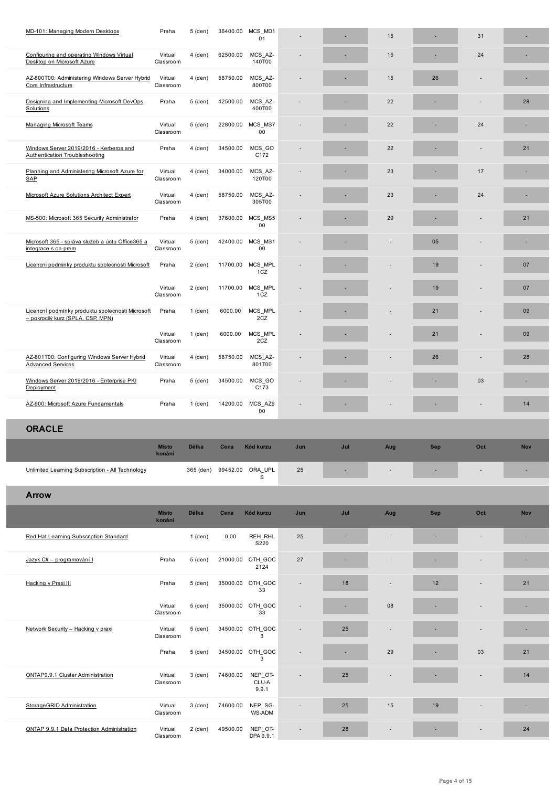| Configuring and operating Windows Virtual<br>Desktop on Microsoft Azure               | Virtual<br>Classroom   | $4$ (den)    | 62500.00                   | MCS_AZ-<br>140T00         |     |     | 15  |            | 24                       |            |
|---------------------------------------------------------------------------------------|------------------------|--------------|----------------------------|---------------------------|-----|-----|-----|------------|--------------------------|------------|
| AZ-800T00: Administering Windows Server Hybrid<br>Core Infrastructure                 | Virtual<br>Classroom   | 4 (den)      | 58750.00                   | MCS AZ-<br>800T00         |     |     | 15  | 26         |                          |            |
| Designing and Implementing Microsoft DevOps<br>Solutions                              | Praha                  | 5 (den)      | 42500.00                   | MCS AZ-<br>400T00         |     |     | 22  |            |                          | 28         |
| <b>Managing Microsoft Teams</b>                                                       | Virtual<br>Classroom   | 5 (den)      | 22800.00                   | MCS MS7<br>$00\,$         |     |     | 22  |            | 24                       |            |
| Windows Server 2019/2016 - Kerberos and<br><b>Authentication Troubleshooting</b>      | Praha                  | 4 (den)      | 34500.00                   | MCS_GO<br>C172            |     |     | 22  |            |                          | 21         |
| Planning and Administering Microsoft Azure for<br>SAP                                 | Virtual<br>Classroom   | 4 (den)      | 34000.00                   | MCS AZ-<br>120T00         |     |     | 23  |            | 17                       |            |
| Microsoft Azure Solutions Architect Expert                                            | Virtual<br>Classroom   | $4$ (den)    | 58750.00                   | MCS_AZ-<br>305T00         |     |     | 23  |            | 24                       |            |
| MS-500: Microsoft 365 Security Administrator                                          | Praha                  | 4 (den)      | 37600.00                   | MCS_MS5<br>00             |     |     | 29  |            |                          | 21         |
| Microsoft 365 - správa služeb a úctu Office365 a<br>integrace s on-prem               | Virtual<br>Classroom   | 5 (den)      | 42400.00                   | MCS MS1<br>$00\,$         |     |     |     | 05         |                          | ٠          |
| Licencni podminky produktu spolecnosti Microsoft                                      | Praha                  | $2$ (den)    |                            | 11700.00 MCS MPL<br>1CZ   |     |     |     | 19         |                          | 07         |
|                                                                                       | Virtual<br>Classroom   | $2$ (den)    |                            | 11700.00 MCS MPL<br>1CZ   |     |     |     | 19         |                          | 07         |
| Licencní podmínky produktu spolecnosti Microsoft<br>- pokrocilý kurz (SPLA, CSP, MPN) | Praha                  | $1$ (den)    | 6000.00                    | MCS MPL<br>2CZ            |     |     |     | 21         |                          | 09         |
|                                                                                       | Virtual<br>Classroom   | $1$ (den)    | 6000.00                    | MCS MPL<br>2CZ            |     |     |     | 21         |                          | 09         |
| AZ-801T00: Configuring Windows Server Hybrid<br><b>Advanced Services</b>              | Virtual<br>Classroom   | 4 (den)      | 58750.00                   | MCS AZ-<br>801T00         |     |     |     | 26         |                          | 28         |
| Windows Server 2019/2016 - Enterprise PKI                                             | Praha                  | 5 (den)      | 34500.00                   | MCS_GO<br>C173            |     |     |     |            | 03                       |            |
| Deployment                                                                            |                        |              |                            |                           |     |     |     |            |                          |            |
| AZ-900: Microsoft Azure Fundamentals                                                  | Praha                  | $1$ (den)    | 14200.00                   | MCS AZ9<br>$00\,$         |     |     |     |            |                          | 14         |
| <b>ORACLE</b>                                                                         |                        |              |                            |                           |     |     |     |            |                          |            |
|                                                                                       | <b>Místo</b><br>konání | <b>Délka</b> | Cena                       | Kód kurzu                 | Jun | Jul | Aug | <b>Sep</b> | Oct                      | <b>Nov</b> |
| <u> Unlimited Learning Subscription - All Technology</u>                              |                        |              | 365 (den) 99452.00 ORA_UPL | S                         | 25  |     |     |            |                          |            |
| <b>Arrow</b>                                                                          |                        |              |                            |                           |     |     |     |            |                          |            |
|                                                                                       | <b>Místo</b><br>konání | Délka        | Cena                       | Kód kurzu                 | Jun | Jul | Aug | Sep        | Oct                      | <b>Nov</b> |
| Red Hat Learning Subscription Standard                                                |                        | 1 (den)      | 0.00                       | REH RHL<br>S220           | 25  |     |     |            |                          |            |
| Jazyk C# - programování l                                                             | Praha                  | $5$ (den)    |                            | 21000.00 OTH GOC<br>2124  | 27  |     |     |            |                          |            |
| Hacking v Praxi III                                                                   | Praha                  | 5 (den)      |                            | 35000.00 OTH_GOC<br>33    |     | 18  |     | 12         |                          | 21         |
|                                                                                       | Virtual<br>Classroom   | 5 (den)      |                            | 35000.00 OTH_GOC<br>33    |     |     | 08  |            |                          | ٠          |
| Network Security - Hacking v praxi                                                    | Virtual<br>Classroom   | 5 (den)      |                            | 34500.00 OTH_GOC<br>3     |     | 25  |     |            | $\overline{\phantom{a}}$ | ٠          |
|                                                                                       | Praha                  | 5 (den)      |                            | 34500.00 OTH_GOC<br>3     |     | ٠   | 29  |            | 03                       | 21         |
| ONTAP9.9.1 Cluster Administration                                                     | Virtual<br>Classroom   | 3 (den)      | 74600.00                   | NEP_OT-<br>CLU-A<br>9.9.1 |     | 25  |     |            |                          | 14         |
| StorageGRID Administration                                                            | Virtual<br>Classroom   | 3 (den)      | 74600.00                   | NEP_SG-<br>WS-ADM         |     | 25  | 15  | 19         |                          |            |
| ONTAP 9.9.1 Data Protection Administration                                            | Virtual<br>Classroom   | $2$ (den)    | 49500.00                   | NEP_OT-<br>DPA 9.9.1      |     | 28  |     |            |                          | 24         |

п

I

Г

Ī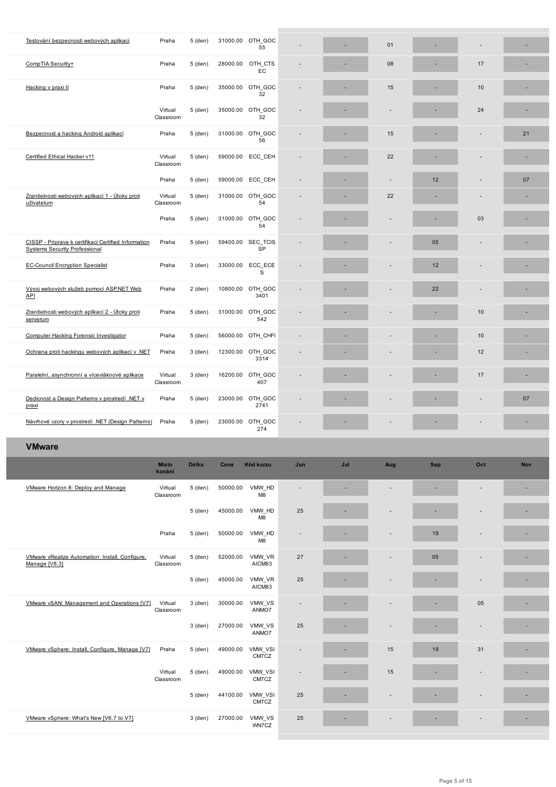|                                                                                              |                        |           |          | 55                        |                              |     |     |     |                |     |
|----------------------------------------------------------------------------------------------|------------------------|-----------|----------|---------------------------|------------------------------|-----|-----|-----|----------------|-----|
| CompTIA Security+                                                                            | Praha                  | 5 (den)   | 28000.00 | OTH_CTS<br>EC             |                              |     | 08  |     | 17             |     |
| Hacking v praxi II                                                                           | Praha                  | 5 (den)   |          | 35000.00 OTH GOC<br>32    |                              |     | 15  |     | 10             |     |
|                                                                                              | Virtual<br>Classroom   | 5 (den)   |          | 35000.00 OTH GOC<br>32    |                              |     |     |     | 24             |     |
| Bezpecnost a hacking Android aplikací                                                        | Praha                  | 5 (den)   |          | 31000.00 OTH GOC<br>56    |                              |     | 15  |     |                | 21  |
| Certified Ethical Hacker v11                                                                 | Virtual<br>Classroom   | 5 (den)   |          | 59000.00 ECC CEH          |                              |     | 22  |     |                | ٠   |
|                                                                                              | Praha                  | 5 (den)   |          | 59000.00 ECC_CEH          |                              | ٠   |     | 12  |                | 07  |
| Zranitelnosti webových aplikací 1 - Útoky proti<br>uživatelum                                | Virtual<br>Classroom   | 5 (den)   |          | 31000.00 OTH_GOC<br>54    |                              |     | 22  |     |                |     |
|                                                                                              | Praha                  | 5 (den)   |          | 31000.00 OTH GOC<br>54    |                              |     |     |     | 03             | ٠   |
| CISSP - Príprava k certifikaci Certified Information<br><b>Systems Security Professional</b> | Praha                  | 5 (den)   |          | 59400.00 SEC TCIS<br>SP   |                              |     |     | 05  |                |     |
| <b>EC-Council Encryption Specialist</b>                                                      | Praha                  | 3 (den)   |          | 33000.00 ECC ECE<br>S     |                              |     |     | 12  |                |     |
| Vývoj webových služeb pomocí ASP.NET Web<br>API                                              | Praha                  | $2$ (den) |          | 10800.00 OTH GOC<br>3401  |                              |     |     | 22  |                |     |
| Zranitelnosti webových aplikací 2 - Útoky proti<br>serverum                                  | Praha                  | 5 (den)   |          | 31000.00 OTH_GOC<br>542   |                              |     |     |     | 10             |     |
| Computer Hacking Forensic Investigator                                                       | Praha                  | 5 (den)   |          | 56000.00 OTH CHFI         | ٠                            |     |     |     | 10             |     |
| Ochrana proti hackingu webových aplikací v .NET                                              | Praha                  | $3$ (den) |          | 12300.00 OTH_GOC<br>3314  |                              |     |     |     | 12             |     |
| Paralelní, asynchronní a vícevláknové aplikace                                               | Virtual<br>Classroom   | 3 (den)   |          | 16200.00 OTH_GOC<br>407   |                              |     |     |     | 17             | ٠   |
| Dedicnost a Design Patterns v prostredí .NET v<br>praxi                                      | Praha                  | 5 (den)   |          | 23000.00 OTH_GOC<br>2741  |                              |     |     |     |                | 07  |
| Návrhové vzory v prostredí .NET (Design Patterns)                                            | Praha                  | 5 (den)   |          | 23000.00 OTH_GOC<br>274   |                              |     |     |     |                | ٠   |
| <b>VMware</b>                                                                                |                        |           |          |                           |                              |     |     |     |                |     |
|                                                                                              | <b>Místo</b><br>konání | Délka     | Cena     | Kód kurzu                 | Jun                          | Jul | Aug | Sep | Oct            | Nov |
| VMware Horizon 8: Deploy and Manage                                                          | Virtual<br>Classroom   | 5 (den)   | 50000.00 | VMW_HD<br>M8              |                              | ×,  |     |     |                | ٠   |
|                                                                                              |                        | 5 (den)   | 45000.00 | VMW_HD<br>M8              | 25                           |     |     |     |                |     |
|                                                                                              | Praha                  | 5 (den)   | 50000.00 | VMW_HD<br>M <sub>8</sub>  | $\qquad \qquad \blacksquare$ |     |     | 19  |                | ٠   |
| VMware vRealize Automation: Install, Configure,<br>Manage [V8.3]                             | Virtual<br>Classroom   | 5 (den)   | 52000.00 | VMW_VR<br>AICM83          | 27                           |     |     | 05  | $\blacksquare$ | ٠   |
|                                                                                              |                        | 5 (den)   | 45000.00 | VMW_VR<br>AICM83          | 25                           |     |     |     |                |     |
| VMware vSAN: Management and Operations [V7]                                                  | Virtual<br>Classroom   | 3 (den)   | 30000.00 | VMW_VS<br>ANMO7           | ÷                            |     |     |     | 05             |     |
|                                                                                              |                        | 3 (den)   | 27000.00 | VMW_VS<br>ANMO7           | 25                           |     |     |     |                |     |
| VMware vSphere: Install, Configure, Manage [V7]                                              | Praha                  | 5 (den)   |          | 49000.00 VMW_VSI<br>CM7CZ |                              |     | 15  | 19  | 31             |     |
|                                                                                              | Virtual<br>Classroom   | 5 (den)   |          | 49000.00 VMW_VSI<br>CM7CZ |                              |     | 15  |     |                |     |
|                                                                                              |                        | 5 (den)   |          | 44100.00 VMW_VSI<br>CM7CZ | 25                           |     |     |     |                |     |
| VMware vSphere: What's New [V6.7 to V7]                                                      |                        | 3 (den)   | 27000.00 | VMW_VS<br>WN7CZ           | 25                           |     |     |     |                |     |
|                                                                                              |                        |           |          |                           |                              |     |     |     |                |     |

I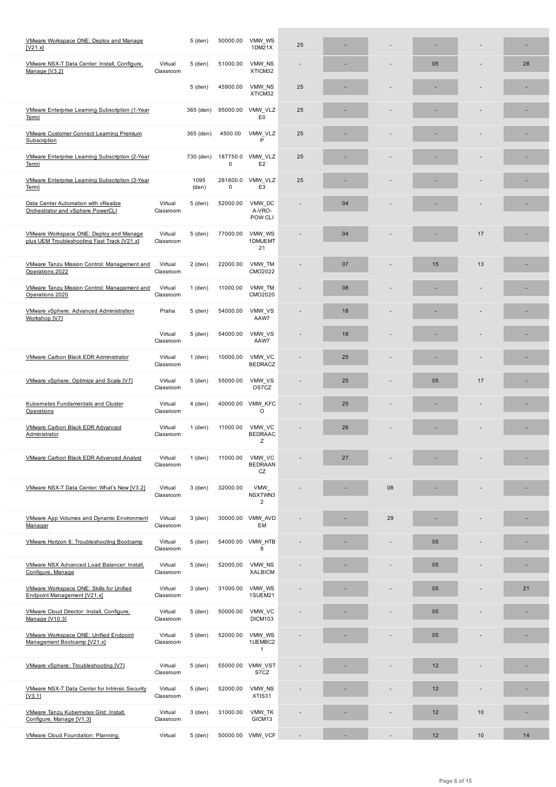| <u>IV21.X</u>                                                                          |                      |               |               | 1DM21X                            |    |    |    |    |    |    |
|----------------------------------------------------------------------------------------|----------------------|---------------|---------------|-----------------------------------|----|----|----|----|----|----|
| VMware NSX-T Data Center: Install, Configure,<br>Manage [V3.2]                         | Virtual<br>Classroom | 5 (den)       | 51000.00      | VMW NS<br>XTICM32                 |    |    |    | 05 |    | 28 |
|                                                                                        |                      | 5 (den)       | 45900.00      | VMW NS<br>XTICM32                 | 25 |    |    |    |    |    |
| VMware Enterprise Learning Subscription (1-Year<br>Term)                               |                      | 365 (den)     | 95000.00      | VMW_VLZ<br>E <sub>0</sub>         | 25 |    |    |    |    |    |
| VMware Customer Connect Learning Premium<br>Subscription                               |                      | 365 (den)     | 4500.00       | VMW VLZ<br>P                      | 25 |    |    |    |    |    |
| VMware Enterprise Learning Subscription (2-Year<br>Term)                               |                      | 730 (den)     | 187750.0<br>0 | VMW VLZ<br>E <sub>2</sub>         | 25 |    |    |    |    |    |
| VMware Enterprise Learning Subscription (3-Year<br>Term)                               |                      | 1095<br>(den) | 281600.0<br>0 | VMW_VLZ<br>E <sub>3</sub>         | 25 |    |    |    |    |    |
| Data Center Automation with vRealize<br>Orchestrator and vSphere PowerCLI              | Virtual<br>Classroom | 5 (den)       | 52000.00      | VMW DC<br>A-VRO-<br>POW CLI       |    | 04 |    |    |    |    |
| VMware Workspace ONE: Deploy and Manage<br>plus UEM Troubleshooting Fast Track [V21.x] | Virtual<br>Classroom | 5 (den)       | 77000.00      | VMW WS<br>1DMUEMT<br>21           |    | 04 |    |    | 17 |    |
| VMware Tanzu Mission Control: Management and<br>Operations 2022                        | Virtual<br>Classroom | $2$ (den)     | 22000.00      | VMW_TM<br>CMO2022                 |    | 07 |    | 15 | 13 |    |
| VMware Tanzu Mission Control: Management and<br>Operations 2020                        | Virtual<br>Classroom | $1$ (den)     | 11000.00      | VMW TM<br>CMO2020                 |    | 08 |    |    |    |    |
| VMware vSphere: Advanced Administration<br>Workshop [V7]                               | Praha                | 5 (den)       | 54000.00      | VMW_VS<br>AAW7                    |    | 18 |    |    |    |    |
|                                                                                        | Virtual<br>Classroom | 5 (den)       | 54000.00      | VMW VS<br>AAW7                    |    | 18 |    |    |    |    |
| VMware Carbon Black EDR Administrator                                                  | Virtual<br>Classroom | $1$ (den)     | 10000.00      | VMW_VC<br><b>BEDRACZ</b>          |    | 25 |    |    |    |    |
| VMware vSphere: Optimize and Scale [V7]                                                | Virtual<br>Classroom | 5 (den)       | 55000.00      | VMW_VS<br>OS7CZ                   |    | 25 |    | 05 | 17 |    |
| Kubernetes Fundamentals and Cluster<br>Operations                                      | Virtual<br>Classroom | $4$ (den)     | 40000.00      | VMW KFC<br>$\circ$                |    | 25 |    |    |    |    |
| VMware Carbon Black EDR Advanced<br>Administrator                                      | Virtual<br>Classroom | $1$ (den)     | 11000.00      | VMW_VC<br><b>BEDRAAC</b><br>Z     |    | 26 |    |    |    |    |
| VMware Carbon Black EDR Advanced Analyst                                               | Virtual<br>Classroom | $1$ (den)     | 11000.00      | VMW VC<br><b>BEDRAAN</b><br>CZ    |    | 27 |    |    |    |    |
| VMware NSX-T Data Center: What's New [V3.2]                                            | Virtual<br>Classroom | 3 (den)       | 32000.00      | VMW<br>NSXTWN3<br>$\overline{c}$  |    |    | 08 |    |    |    |
| <b>VMware App Volumes and Dynamic Environment</b><br>Manager                           | Virtual<br>Classroom | 3 (den)       | 30000.00      | VMW_AVD<br>EM                     |    |    | 29 |    |    |    |
| VMware Horizon 8: Troubleshooting Bootcamp                                             | Virtual<br>Classroom | 5 (den)       | 54000.00      | VMW HTB<br>8                      |    |    |    | 05 |    |    |
| VMware NSX Advanced Load Balancer: Install,<br>Configure, Manage                       | Virtual<br>Classroom | 5 (den)       | 52000.00      | VMW NS<br>XALBICM                 |    |    |    | 05 |    |    |
| VMware Workspace ONE: Skills for Unified<br>Endpoint Management [V21.x]                | Virtual<br>Classroom | 3 (den)       | 31000.00      | VMW_WS<br>1SUEM21                 |    |    |    | 05 |    | 21 |
| VMware Cloud Director: Install, Configure,<br>Manage [V10.3]                           | Virtual<br>Classroom | 5 (den)       | 50000.00      | VMW VC<br>DICM103                 |    |    |    | 05 |    |    |
| VMware Workspace ONE: Unified Endpoint<br>Management Bootcamp [V21.x]                  | Virtual<br>Classroom | 5 (den)       | 52000.00      | VMW WS<br>1UEMBC2<br>$\mathbf{1}$ |    |    |    | 05 |    |    |
| VMware vSphere: Troubleshooting [V7]                                                   | Virtual<br>Classroom | 5 (den)       |               | 55000.00 VMW_VST<br>S7CZ          |    |    |    | 12 |    |    |
| <b>VMware NSX-T Data Center for Intrinsic Security</b><br>[V3.1]                       | Virtual<br>Classroom | 5 (den)       | 52000.00      | VMW NS<br>XTIS31                  |    |    |    | 12 |    |    |
| VMware Tanzu Kubernetes Grid: Install,<br>Configure, Manage [V1.3]                     | Virtual<br>Classroom | 3 (den)       | 31000.00      | VMW_TK<br>GICM13                  |    |    |    | 12 | 10 | ٠  |
| VMware Cloud Foundation: Planning,                                                     | Virtual              | 5 (den)       |               | 50000.00 VMW_VCF                  |    |    |    | 12 | 10 | 14 |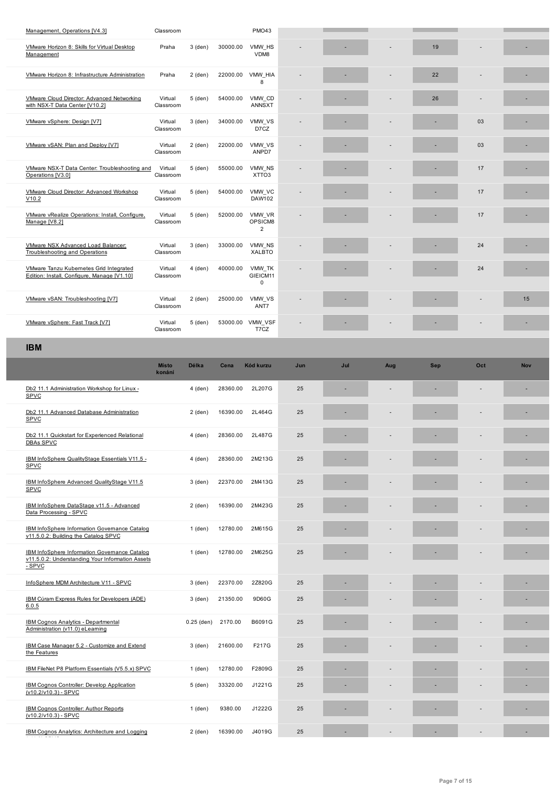| VIVIWATE HONZON 6: SKIIIS IOT VIRUAI DESKLOP<br>Management                                                          | Prana                  | ა (aen)      | 30000.00 | vivivv_no<br>VDM8           |     |     |     | 19         |     |            |
|---------------------------------------------------------------------------------------------------------------------|------------------------|--------------|----------|-----------------------------|-----|-----|-----|------------|-----|------------|
| VMware Horizon 8: Infrastructure Administration                                                                     | Praha                  | $2$ (den)    | 22000.00 | VMW_HIA<br>8                |     |     |     | 22         |     |            |
| VMware Cloud Director: Advanced Networking<br>with NSX-T Data Center [V10.2]                                        | Virtual<br>Classroom   | 5 (den)      | 54000.00 | VMW CD<br><b>ANNSXT</b>     |     |     |     | 26         |     |            |
| VMware vSphere: Design [V7]                                                                                         | Virtual<br>Classroom   | 3 (den)      | 34000.00 | VMW_VS<br>D7CZ              |     |     |     |            | 03  |            |
| VMware vSAN: Plan and Deploy [V7]                                                                                   | Virtual<br>Classroom   | $2$ (den)    | 22000.00 | VMW_VS<br>ANPD7             |     |     |     |            | 03  |            |
| VMware NSX-T Data Center: Troubleshooting and<br>Operations [V3.0]                                                  | Virtual<br>Classroom   | 5 (den)      | 55000.00 | VMW NS<br>XTTO <sub>3</sub> |     |     |     |            | 17  |            |
| VMware Cloud Director: Advanced Workshop<br>V10.2                                                                   | Virtual<br>Classroom   | 5 (den)      | 54000.00 | VMW_VC<br>DAW102            |     |     |     |            | 17  |            |
| VMware vRealize Operations: Install, Configure,<br>Manage [V8.2]                                                    | Virtual<br>Classroom   | 5 (den)      | 52000.00 | VMW_VR<br>OPSICM8<br>2      |     |     |     |            | 17  | ٠          |
| VMware NSX Advanced Load Balancer:<br><b>Troubleshooting and Operations</b>                                         | Virtual<br>Classroom   | 3 (den)      | 33000.00 | VMW_NS<br><b>XALBTO</b>     |     |     |     |            | 24  |            |
| <b>VMware Tanzu Kubernetes Grid Integrated</b><br>Edition: Install, Configure, Manage [V1.10]                       | Virtual<br>Classroom   | 4 (den)      | 40000.00 | VMW TK<br>GIEICM11<br>0     |     |     |     |            | 24  |            |
| VMware vSAN: Troubleshooting [V7]                                                                                   | Virtual<br>Classroom   | $2$ (den)    | 25000.00 | VMW_VS<br>ANT7              |     |     |     |            |     | 15         |
| VMware vSphere: Fast Track [V7]                                                                                     | Virtual<br>Classroom   | 5 (den)      |          | 53000.00 VMW_VSF<br>T7CZ    |     |     |     |            |     |            |
| <b>IBM</b>                                                                                                          |                        |              |          |                             |     |     |     |            |     |            |
|                                                                                                                     | <b>Místo</b><br>konání | Délka        | Cena     | Kód kurzu                   | Jun | Jul | Aug | <b>Sep</b> | Oct | <b>Nov</b> |
|                                                                                                                     |                        |              |          |                             |     |     |     |            |     |            |
| Db2 11.1 Administration Workshop for Linux -<br>SPVC                                                                |                        | 4 (den)      | 28360.00 | 2L207G                      | 25  |     |     |            |     |            |
| Db2 11.1 Advanced Database Administration<br><b>SPVC</b>                                                            |                        | $2$ (den)    | 16390.00 | 2L464G                      | 25  |     |     |            |     |            |
| Db2 11.1 Quickstart for Experienced Relational<br><b>DBAs SPVC</b>                                                  |                        | 4 (den)      | 28360.00 | 2L487G                      | 25  |     |     |            |     |            |
| IBM InfoSphere QualityStage Essentials V11.5 -<br><u>SPVC</u>                                                       |                        | 4 (den)      | 28360.00 | 2M213G                      | 25  |     |     |            |     |            |
| IBM InfoSphere Advanced QualityStage V11.5<br><b>SPVC</b>                                                           |                        | 3 (den)      | 22370.00 | 2M413G                      | 25  |     |     |            |     |            |
| IBM InfoSphere DataStage v11.5 - Advanced<br>Data Processing - SPVC                                                 |                        | 2 (den)      | 16390.00 | 2M423G                      | 25  |     |     |            |     |            |
| IBM InfoSphere Information Governance Catalog<br>v11.5.0.2: Building the Catalog SPVC                               |                        | $1$ (den)    | 12780.00 | 2M615G                      | 25  |     |     |            |     |            |
| <b>IBM InfoSphere Information Governance Catalog</b><br>v11.5.0.2: Understanding Your Information Assets<br>$-SPVC$ |                        | $1$ (den)    | 12780.00 | 2M625G                      | 25  |     |     |            |     |            |
| InfoSphere MDM Architecture V11 - SPVC                                                                              |                        | 3 (den)      | 22370.00 | 2Z820G                      | 25  |     |     |            |     |            |
| IBM Cúram Express Rules for Developers (ADE)<br>6.0.5                                                               |                        | 3 (den)      | 21350.00 | 9D60G                       | 25  |     |     |            |     |            |
| <b>IBM Cognos Analytics - Departmental</b><br>Administration (v11.0) eLearning                                      |                        | $0.25$ (den) | 2170.00  | B6091G                      | 25  |     |     |            |     |            |
| IBM Case Manager 5.2 - Customize and Extend<br>the Features                                                         |                        | 3 (den)      | 21600.00 | F217G                       | 25  |     |     |            |     |            |
| IBM FileNet P8 Platform Essentials (V5.5.x) SPVC                                                                    |                        | $1$ (den)    | 12780.00 | F2809G                      | 25  |     |     | ٠          |     |            |
| IBM Cognos Controller: Develop Application<br>(v10.2/v10.3) - SPVC                                                  |                        | 5 (den)      | 33320.00 | J1221G                      | 25  |     |     |            |     |            |
| IBM Cognos Controller: Author Reports<br>(v10.2/v10.3) - SPVC                                                       |                        | $1$ (den)    | 9380.00  | J1222G                      | 25  |     |     |            |     |            |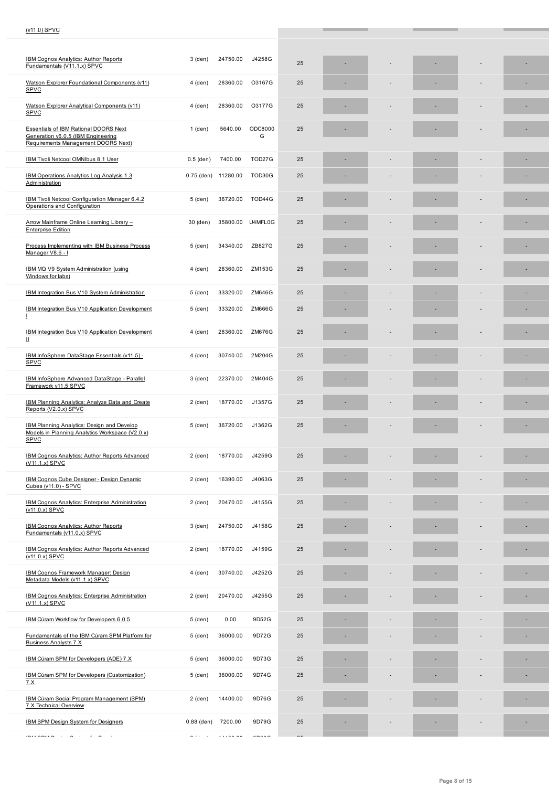| <b>IBM Cognos Analytics: Author Reports</b><br>Fundamentals (V11.1.x) SPVC                                                | 3 (den)                                | 24750.00 | J4258G                           | 25 |  |  |   |
|---------------------------------------------------------------------------------------------------------------------------|----------------------------------------|----------|----------------------------------|----|--|--|---|
| Watson Explorer Foundational Components (v11)<br><b>SPVC</b>                                                              | 4 (den)                                | 28360.00 | O3167G                           | 25 |  |  |   |
| Watson Explorer Analytical Components (v11)<br>SPVC                                                                       | $4$ (den)                              | 28360.00 | O3177G                           | 25 |  |  |   |
| <b>Essentials of IBM Rational DOORS Next</b><br>Generation v6.0.5 (IBM Engineering<br>Requirements Management DOORS Next) | $1$ (den)                              | 5640.00  | ODC8000<br>G                     | 25 |  |  |   |
| IBM Tivoli Netcool OMNIbus 8.1 User                                                                                       | $0.5$ (den)                            | 7400.00  | TOD27G                           | 25 |  |  |   |
| IBM Operations Analytics Log Analysis 1.3<br>Administration                                                               | $0.75$ (den)                           | 11280.00 | TOD30G                           | 25 |  |  |   |
| IBM Tivoli Netcool Configuration Manager 6.4.2<br>Operations and Configuration                                            | 5 (den)                                | 36720.00 | TOD44G                           | 25 |  |  |   |
| Arrow Mainframe Online Learning Library -<br><b>Enterprise Edition</b>                                                    | 30 (den)                               | 35800.00 | U4MFL0G                          | 25 |  |  |   |
| Process Implementing with IBM Business Process<br>Manager V8.6 - I                                                        | 5 (den)                                | 34340.00 | ZB827G                           | 25 |  |  | ۰ |
| IBM MQ V9 System Administration (using<br>Windows for labs)                                                               | 4 (den)                                | 28360.00 | ZM153G                           | 25 |  |  |   |
| IBM Integration Bus V10 System Administration                                                                             | 5 (den)                                | 33320.00 | ZM646G                           | 25 |  |  |   |
| <b>IBM Integration Bus V10 Application Development</b><br>$\perp$                                                         | 5 (den)                                | 33320.00 | ZM666G                           | 25 |  |  |   |
| IBM Integration Bus V10 Application Development<br>Ш                                                                      | 4 (den)                                | 28360.00 | <b>ZM676G</b>                    | 25 |  |  |   |
| IBM InfoSphere DataStage Essentials (v11.5) -<br><b>SPVC</b>                                                              | 4 (den)                                | 30740.00 | 2M204G                           | 25 |  |  |   |
| IBM InfoSphere Advanced DataStage - Parallel<br>Framework v11.5 SPVC                                                      | 3 (den)                                | 22370.00 | 2M404G                           | 25 |  |  |   |
| IBM Planning Analytics: Analyze Data and Create<br>Reports (V2.0.x) SPVC                                                  | $2$ (den)                              | 18770.00 | J1357G                           | 25 |  |  |   |
| <b>IBM Planning Analytics: Design and Develop</b><br>Models in Planning Analytics Workspace (V2.0.x)<br><b>SPVC</b>       | 5 (den)                                | 36720.00 | J1362G                           | 25 |  |  |   |
| <b>IBM Cognos Analytics: Author Reports Advanced</b><br>(V11.1.x) SPVC                                                    | $2$ (den)                              | 18770.00 | J4259G                           | 25 |  |  |   |
| <b>IBM Cognos Cube Designer - Design Dynamic</b><br>Cubes (v11.0) - SPVC                                                  | 2 (den)                                | 16390.00 | J4063G                           | 25 |  |  |   |
| IBM Cognos Analytics: Enterprise Administration<br>(v11.0.x) SPVC                                                         | $2$ (den)                              | 20470.00 | J4155G                           | 25 |  |  |   |
| <b>IBM Cognos Analytics: Author Reports</b><br>Fundamentals (v11.0.x) SPVC                                                | 3 (den)                                | 24750.00 | J4158G                           | 25 |  |  |   |
| <b>IBM Cognos Analytics: Author Reports Advanced</b><br>(v11.0.x) SPVC                                                    | 2 (den)                                | 18770.00 | J4159G                           | 25 |  |  |   |
| IBM Cognos Framework Manager: Design<br>Metadata Models (v11.1.x) SPVC                                                    | 4 (den)                                | 30740.00 | J4252G                           | 25 |  |  |   |
| <b>IBM Cognos Analytics: Enterprise Administration</b><br>$(V11.1.x)$ SPVC                                                | $2$ (den)                              | 20470.00 | J4255G                           | 25 |  |  |   |
| IBM Cúram Workflow for Developers 6.0.5                                                                                   | 5 (den)                                | 0.00     | 9D52G                            | 25 |  |  |   |
| Fundamentals of the IBM Cúram SPM Platform for<br><b>Business Analysts 7.X</b>                                            | 5 (den)                                | 36000.00 | 9D72G                            | 25 |  |  |   |
| IBM Cúram SPM for Developers (ADE) 7.X                                                                                    | 5 (den)                                | 36000.00 | 9D73G                            | 25 |  |  |   |
| IBM Cúram SPM for Developers (Customization)<br><u>7.X</u>                                                                | 5 (den)                                | 36000.00 | 9D74G                            | 25 |  |  |   |
| IBM Cúram Social Program Management (SPM)<br><b>7.X Technical Overview</b>                                                | $2$ (den)                              | 14400.00 | 9D76G                            | 25 |  |  | ٠ |
| IBM SPM Design System for Designers                                                                                       | $0.88$ (den)                           | 7200.00  | 9D79G                            | 25 |  |  |   |
|                                                                                                                           | $\alpha$ , and $\alpha$ , and $\alpha$ |          | $\alpha = 1, \alpha = 1, \alpha$ |    |  |  |   |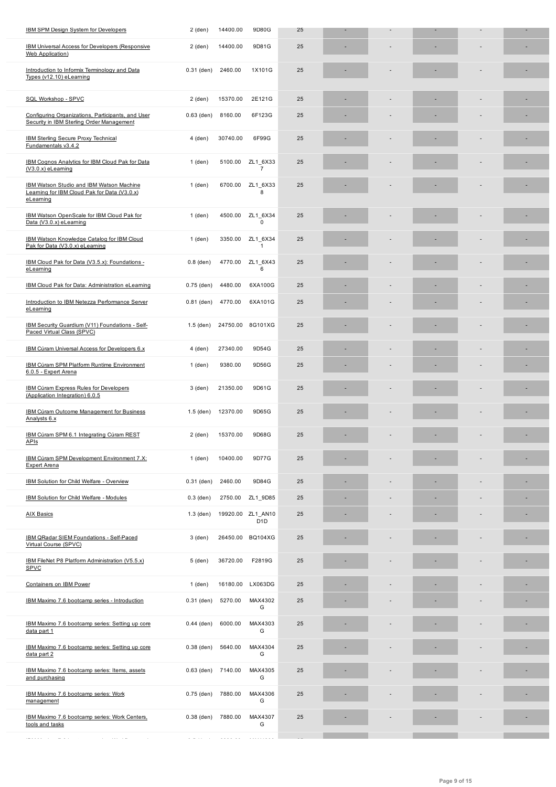| <u>inia numeral vicess ini neveloheis (izeshnisiae</u><br><b>Web Application</b> )                           | z (uen)      | 4400.00  | ו טשפ                                 | ΖJ |    |  |  |
|--------------------------------------------------------------------------------------------------------------|--------------|----------|---------------------------------------|----|----|--|--|
| Introduction to Informix Terminology and Data<br>Types (v12.10) eLearning                                    | $0.31$ (den) | 2460.00  | 1X101G                                | 25 |    |  |  |
| SQL Workshop - SPVC                                                                                          | $2$ (den)    | 15370.00 | 2E121G                                | 25 |    |  |  |
| Configuring Organizations, Participants, and User<br>Security in IBM Sterling Order Management               | $0.63$ (den) | 8160.00  | 6F123G                                | 25 |    |  |  |
| <b>IBM Sterling Secure Proxy Technical</b><br>Fundamentals v3.4.2                                            | 4 (den)      | 30740.00 | 6F99G                                 | 25 |    |  |  |
| IBM Cognos Analytics for IBM Cloud Pak for Data<br>$(V3.0.x)$ eLeaming                                       | $1$ (den)    | 5100.00  | ZL1_6X33<br>$\overline{7}$            | 25 |    |  |  |
| <b>IBM Watson Studio and IBM Watson Machine</b><br>Learning for IBM Cloud Pak for Data (V3.0.x)<br>eLearning | 1 (den)      | 6700.00  | ZL1_6X33<br>8                         | 25 |    |  |  |
| IBM Watson OpenScale for IBM Cloud Pak for<br>Data (V3.0.x) eLearning                                        | 1 (den)      | 4500.00  | ZL1_6X34<br>0                         | 25 |    |  |  |
| IBM Watson Knowledge Catalog for IBM Cloud<br>Pak for Data (V3.0.x) eLearning                                | $1$ (den)    | 3350.00  | ZL1 6X34<br>$\mathbf{1}$              | 25 |    |  |  |
| IBM Cloud Pak for Data (V3.5.x): Foundations -<br>eLearning                                                  | $0.8$ (den)  | 4770.00  | ZL1 6X43<br>6                         | 25 |    |  |  |
| IBM Cloud Pak for Data: Administration eLearning                                                             | $0.75$ (den) | 4480.00  | 6XA100G                               | 25 |    |  |  |
| Introduction to IBM Netezza Performance Server<br>eLearning                                                  | $0.81$ (den) | 4770.00  | 6XA101G                               | 25 |    |  |  |
| IBM Security Guardium (V11) Foundations - Self-<br>Paced Virtual Class (SPVC)                                | $1.5$ (den)  | 24750.00 | 8G101XG                               | 25 |    |  |  |
| IBM Cúram Universal Access for Developers 6.x                                                                | 4 (den)      | 27340.00 | 9D54G                                 | 25 |    |  |  |
| IBM Cúram SPM Platform Runtime Environment<br>6.0.5 - Expert Arena                                           | $1$ (den)    | 9380.00  | 9D56G                                 | 25 |    |  |  |
| <b>IBM Cúram Express Rules for Developers</b><br>(Application Integration) 6.0.5                             | 3 (den)      | 21350.00 | 9D61G                                 | 25 |    |  |  |
| <b>IBM Cúram Outcome Management for Business</b><br>Analysts 6.x                                             | $1.5$ (den)  | 12370.00 | 9D65G                                 | 25 |    |  |  |
| IBM Cúram SPM 6.1 Integrating Cúram REST<br><b>APIs</b>                                                      | $2$ (den)    | 15370.00 | 9D68G                                 | 25 |    |  |  |
| IBM Cúram SPM Development Environment 7.X:<br>Expert Arena                                                   | 1 (den)      | 10400.00 | 9D77G                                 | 25 |    |  |  |
| IBM Solution for Child Welfare - Overview                                                                    | $0.31$ (den) | 2460.00  | 9D84G                                 | 25 |    |  |  |
| <b>IBM Solution for Child Welfare - Modules</b>                                                              | $0.3$ (den)  | 2750.00  | ZL1 9D85                              | 25 | ä, |  |  |
| <b>AIX Basics</b>                                                                                            | $1.3$ (den)  |          | 19920.00 ZL1_AN10<br>D <sub>1</sub> D | 25 |    |  |  |
| IBM QRadar SIEM Foundations - Self-Paced<br>Virtual Course (SPVC)                                            | 3 (den)      |          | 26450.00 BQ104XG                      | 25 |    |  |  |
| IBM FileNet P8 Platform Administration (V5.5.x)<br><b>SPVC</b>                                               | 5 (den)      | 36720.00 | F2819G                                | 25 |    |  |  |
| <b>Containers on IBM Power</b>                                                                               | 1 (den)      |          | 16180.00 LX063DG                      | 25 |    |  |  |
| IBM Maximo 7.6 bootcamp series - Introduction                                                                | $0.31$ (den) | 5270.00  | MAX4302<br>G                          | 25 |    |  |  |
| IBM Maximo 7.6 bootcamp series: Setting up core<br>data part 1                                               | $0.44$ (den) | 6000.00  | MAX4303<br>G                          | 25 |    |  |  |
| IBM Maximo 7.6 bootcamp series: Setting up core<br>data part 2                                               | $0.38$ (den) | 5640.00  | MAX4304<br>G                          | 25 |    |  |  |
| IBM Maximo 7.6 bootcamp series: Items, assets<br>and purchasing                                              | $0.63$ (den) | 7140.00  | MAX4305<br>G                          | 25 |    |  |  |
| IBM Maximo 7.6 bootcamp series: Work<br>management                                                           | $0.75$ (den) | 7880.00  | MAX4306<br>G                          | 25 |    |  |  |
| IBM Maximo 7.6 bootcamp series: Work Centers,<br>tools and tasks                                             | $0.38$ (den) | 7880.00  | MAX4307<br>G                          | 25 |    |  |  |
| <br>$\sim$<br>$\alpha$ , and $\alpha$ , and $\alpha$ , and                                                   |              |          |                                       |    |    |  |  |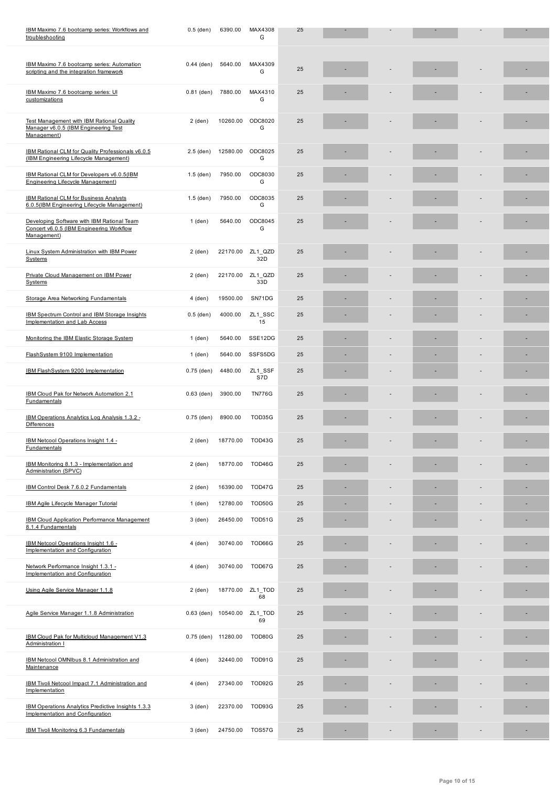| IBM Maximo 7.6 bootcamp series: Automation<br>scripting and the integration framework                   | $0.44$ (den) | 5640.00                     | MAX4309<br>G   | 25 |                          |    |   |
|---------------------------------------------------------------------------------------------------------|--------------|-----------------------------|----------------|----|--------------------------|----|---|
| IBM Maximo 7.6 bootcamp series: UI<br>customizations                                                    | $0.81$ (den) | 7880.00                     | MAX4310<br>G   | 25 |                          |    |   |
| <b>Test Management with IBM Rational Quality</b><br>Manager v6.0.5 (IBM Engineering Test<br>Management) | $2$ (den)    | 10260.00                    | ODC8020<br>G   | 25 |                          |    |   |
| IBM Rational CLM for Quality Professionals v6.0.5<br>(IBM Engineering Lifecycle Management)             | $2.5$ (den)  | 12580.00                    | ODC8025<br>G   | 25 |                          |    |   |
| IBM Rational CLM for Developers v6.0.5(IBM<br><b>Engineering Lifecycle Management)</b>                  | $1.5$ (den)  | 7950.00                     | ODC8030<br>G   | 25 |                          |    |   |
| <b>IBM Rational CLM for Business Analysts</b><br>6.0.5(IBM Engineering Lifecycle Management)            | $1.5$ (den)  | 7950.00                     | ODC8035<br>G   | 25 |                          |    |   |
| Developing Software with IBM Rational Team<br>Concert v6.0.5 (IBM Engineering Workflow<br>Management)   | $1$ (den)    | 5640.00                     | ODC8045<br>G   | 25 |                          |    |   |
| Linux System Administration with IBM Power<br>Systems                                                   | $2$ (den)    | 22170.00                    | ZL1 QZD<br>32D | 25 |                          |    | ٠ |
| Private Cloud Management on IBM Power<br>Systems                                                        | $2$ (den)    | 22170.00                    | ZL1 QZD<br>33D | 25 |                          |    |   |
| Storage Area Networking Fundamentals                                                                    | 4 (den)      | 19500.00                    | SN71DG         | 25 |                          |    |   |
| IBM Spectrum Control and IBM Storage Insights<br><b>Implementation and Lab Access</b>                   | $0.5$ (den)  | 4000.00                     | ZL1 SSC<br>15  | 25 |                          |    |   |
| Monitoring the IBM Elastic Storage System                                                               | 1 (den)      | 5640.00                     | SSE12DG        | 25 |                          |    |   |
| FlashSystem 9100 Implementation                                                                         | $1$ (den)    | 5640.00                     | SSFS5DG        | 25 |                          |    |   |
| IBM FlashSystem 9200 Implementation                                                                     | $0.75$ (den) | 4480.00                     | ZL1_SSF<br>S7D | 25 |                          |    |   |
| IBM Cloud Pak for Network Automation 2.1<br>Fundamentals                                                | $0.63$ (den) | 3900.00                     | <b>TN776G</b>  | 25 |                          |    |   |
| IBM Operations Analytics Log Analysis 1.3.2 -<br><b>Differences</b>                                     | $0.75$ (den) | 8900.00                     | TOD35G         | 25 |                          |    |   |
| IBM Netcool Operations Insight 1.4 -<br><b>Fundamentals</b>                                             | $2$ (den)    | 18770.00                    | TOD43G         | 25 |                          |    | ٠ |
| IBM Monitoring 8.1.3 - Implementation and<br>Administration (SPVC)                                      | $2$ (den)    | 18770.00                    | TOD46G         | 25 |                          |    |   |
| IBM Control Desk 7.6.0.2 Fundamentals                                                                   | $2$ (den)    | 16390.00                    | TOD47G         | 25 |                          |    |   |
| <b>IBM Agile Lifecycle Manager Tutorial</b>                                                             | 1 (den)      | 12780.00                    | TOD50G         | 25 |                          |    |   |
| <b>IBM Cloud Application Performance Management</b><br>8.1.4 Fundamentals                               | 3 (den)      | 26450.00                    | TOD51G         | 25 |                          |    |   |
| IBM Netcool Operations Insight 1.6 -<br>Implementation and Configuration                                | 4 (den)      | 30740.00                    | TOD66G         | 25 |                          |    |   |
| Network Performance Insight 1.3.1 -<br>Implementation and Configuration                                 | 4 (den)      | 30740.00                    | TOD67G         | 25 |                          |    |   |
| Using Agile Service Manager 1.1.8                                                                       | 2 (den)      | 18770.00                    | ZL1_TOD<br>68  | 25 |                          |    |   |
| Agile Service Manager 1.1.8 Administration                                                              |              | 0.63 (den) 10540.00 ZL1_TOD | 69             | 25 |                          |    |   |
| IBM Cloud Pak for Multicloud Management V1.3<br>Administration I                                        |              | 0.75 (den) 11280.00         | TOD80G         | 25 |                          |    |   |
| IBM Netcool OMNIbus 8.1 Administration and<br>Maintenance                                               | 4 (den)      | 32440.00                    | TOD91G         | 25 |                          |    |   |
| IBM Tivoli Netcool Impact 7.1 Administration and<br>Implementation                                      | 4 (den)      | 27340.00                    | TOD92G         | 25 |                          |    |   |
| IBM Operations Analytics Predictive Insights 1.3.3<br>Implementation and Configuration                  | 3 (den)      | 22370.00                    | TOD93G         | 25 |                          |    |   |
| IBM Tivoli Monitoring 6.3 Fundamentals                                                                  | 3 (den)      | 24750.00                    | TOS57G         | 25 | $\overline{\phantom{a}}$ | ÷, | ٠ |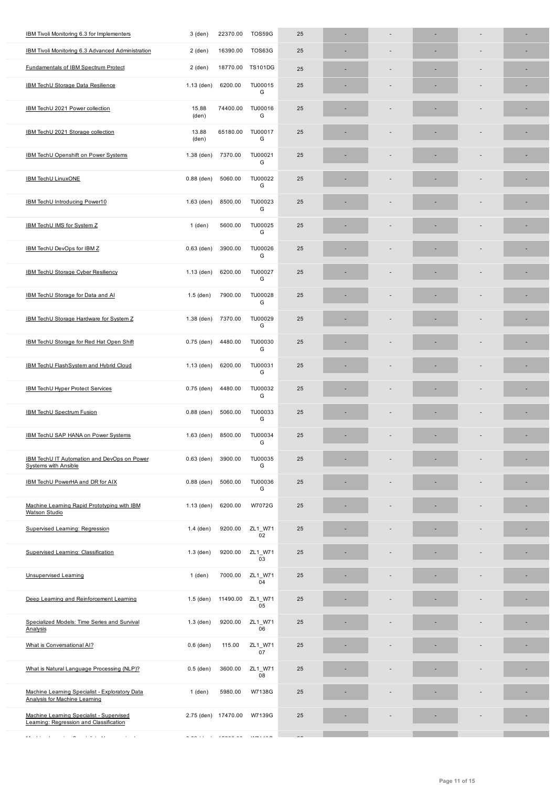| IBM Tivoli Monitoring 6.3 Advanced Administration                                      | 2 (den)        | 16390.00                       | TOS63G         | 25 | ٠ |  | $\overline{a}$ | ٠ |
|----------------------------------------------------------------------------------------|----------------|--------------------------------|----------------|----|---|--|----------------|---|
| <b>Fundamentals of IBM Spectrum Protect</b>                                            | 2 (den)        | 18770.00                       | <b>TS101DG</b> | 25 | ٠ |  | ÷              |   |
| <b>IBM TechU Storage Data Resilience</b>                                               | $1.13$ (den)   | 6200.00                        | TU00015<br>G   | 25 |   |  | ٠              |   |
| IBM TechU 2021 Power collection                                                        | 15.88<br>(den) | 74400.00                       | TU00016<br>G   | 25 |   |  |                |   |
| IBM TechU 2021 Storage collection                                                      | 13.88<br>(den) | 65180.00                       | TU00017<br>G   | 25 |   |  |                |   |
| IBM TechU Openshift on Power Systems                                                   | $1.38$ (den)   | 7370.00                        | TU00021<br>G   | 25 |   |  |                |   |
| <b>IBM TechU LinuxONE</b>                                                              | $0.88$ (den)   | 5060.00                        | TU00022<br>G   | 25 |   |  |                |   |
| IBM TechU Introducing Power10                                                          | $1.63$ (den)   | 8500.00                        | TU00023<br>G   | 25 |   |  |                |   |
| IBM TechU IMS for System Z                                                             | 1 (den)        | 5600.00                        | TU00025<br>G   | 25 |   |  |                |   |
| IBM TechU DevOps for IBM Z                                                             | $0.63$ (den)   | 3900.00                        | TU00026<br>G   | 25 |   |  |                |   |
| IBM TechU Storage Cyber Resiliency                                                     | 1.13 (den)     | 6200.00                        | TU00027<br>G   | 25 |   |  |                | ٠ |
| IBM TechU Storage for Data and AI                                                      | $1.5$ (den)    | 7900.00                        | TU00028<br>G   | 25 |   |  |                |   |
| IBM TechU Storage Hardware for System Z                                                | $1.38$ (den)   | 7370.00                        | TU00029<br>G   | 25 |   |  | ÷              |   |
| IBM TechU Storage for Red Hat Open Shift                                               | $0.75$ (den)   | 4480.00                        | TU00030<br>G   | 25 |   |  |                |   |
| IBM TechU FlashSystem and Hybrid Cloud                                                 | $1.13$ (den)   | 6200.00                        | TU00031<br>G   | 25 |   |  |                |   |
| <b>IBM TechU Hyper Protect Services</b>                                                | $0.75$ (den)   | 4480.00                        | TU00032<br>G   | 25 |   |  |                |   |
| <b>IBM TechU Spectrum Fusion</b>                                                       | $0.88$ (den)   | 5060.00                        | TU00033<br>G   | 25 |   |  |                |   |
| IBM TechU SAP HANA on Power Systems                                                    | $1.63$ (den)   | 8500.00                        | TU00034<br>G   | 25 |   |  |                |   |
| IBM TechU IT Automation and DevOps on Power<br><b>Systems with Ansible</b>             | $0.63$ (den)   | 3900.00                        | TU00035<br>G   | 25 |   |  |                |   |
| IBM TechU PowerHA and DR for AIX                                                       | $0.88$ (den)   | 5060.00                        | TU00036<br>G   | 25 |   |  |                |   |
| Machine Learning Rapid Prototyping with IBM<br><b>Watson Studio</b>                    | $1.13$ (den)   | 6200.00                        | W7072G         | 25 |   |  |                |   |
| <b>Supervised Learning: Regression</b>                                                 | $1.4$ (den)    | 9200.00                        | ZL1_W71<br>02  | 25 |   |  |                |   |
| Supervised Learning: Classification                                                    | $1.3$ (den)    | 9200.00                        | ZL1_W71<br>03  | 25 |   |  |                |   |
| <b>Unsupervised Learning</b>                                                           | $1$ (den)      | 7000.00                        | ZL1_W71<br>04  | 25 |   |  |                |   |
| Deep Learning and Reinforcement Learning                                               | $1.5$ (den)    | 11490.00                       | ZL1_W71<br>05  | 25 |   |  |                |   |
| Specialized Models: Time Series and Survival<br>Analysis                               | $1.3$ (den)    | 9200.00                        | ZL1_W71<br>06  | 25 |   |  |                |   |
| What is Conversational AI?                                                             | $0.6$ (den)    | 115.00                         | ZL1_W71<br>07  | 25 |   |  |                |   |
| What is Natural Language Processing (NLP)?                                             | $0.5$ (den)    | 3600.00                        | ZL1_W71<br>08  | 25 |   |  |                |   |
| Machine Learning Specialist - Exploratory Data<br><b>Analysis for Machine Learning</b> | 1 (den)        | 5980.00                        | W7138G         | 25 |   |  |                |   |
| Machine Learning Specialist - Supervised<br>Learning: Regression and Classification    |                | 2.75 (den) 17470.00            | W7139G         | 25 |   |  |                |   |
| الموارد سالم المستنبذ والمرادي<br><b>Contractor</b><br>and the state<br>$\sim$         | a aan ah in    | $\sim$ $\sim$<br>$\sim$ $   -$ |                |    |   |  |                |   |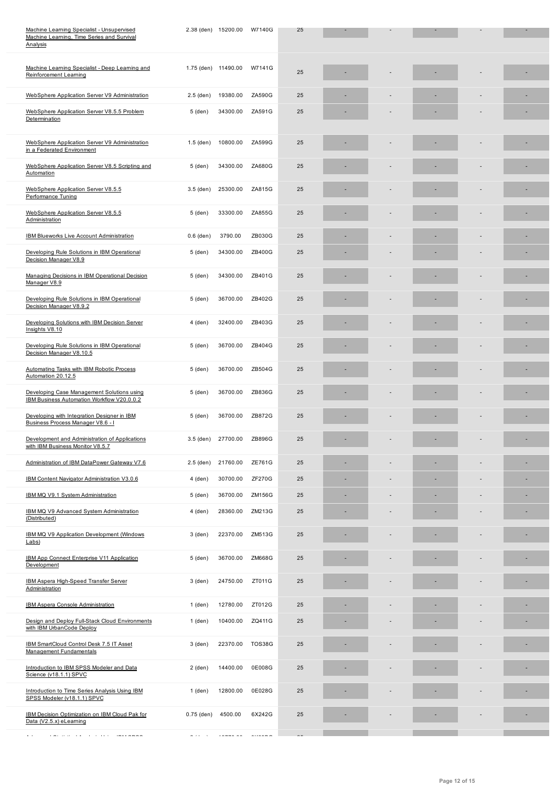| Machine Learning Specialist - Deep Learning and<br>Reinforcement Learning                | 1.75 (den) 11490.00                   |                                                  | W7141G                                                                                                                                                                                                                                                                                                                                                                                                                                                                     | 25 |  |  |  |
|------------------------------------------------------------------------------------------|---------------------------------------|--------------------------------------------------|----------------------------------------------------------------------------------------------------------------------------------------------------------------------------------------------------------------------------------------------------------------------------------------------------------------------------------------------------------------------------------------------------------------------------------------------------------------------------|----|--|--|--|
| WebSphere Application Server V9 Administration                                           | $2.5$ (den)                           | 19380.00                                         | ZA590G                                                                                                                                                                                                                                                                                                                                                                                                                                                                     | 25 |  |  |  |
| WebSphere Application Server V8.5.5 Problem<br>Determination                             | 5 (den)                               | 34300.00                                         | ZA591G                                                                                                                                                                                                                                                                                                                                                                                                                                                                     | 25 |  |  |  |
| WebSphere Application Server V9 Administration<br>in a Federated Environment             | $1.5$ (den)                           | 10800.00                                         | ZA599G                                                                                                                                                                                                                                                                                                                                                                                                                                                                     | 25 |  |  |  |
| WebSphere Application Server V8.5 Scripting and<br>Automation                            | 5 (den)                               | 34300.00                                         | ZA680G                                                                                                                                                                                                                                                                                                                                                                                                                                                                     | 25 |  |  |  |
| WebSphere Application Server V8.5.5<br>Performance Tuning                                | $3.5$ (den)                           | 25300.00                                         | ZA815G                                                                                                                                                                                                                                                                                                                                                                                                                                                                     | 25 |  |  |  |
| WebSphere Application Server V8.5.5<br>Administration                                    | 5 (den)                               | 33300.00                                         | ZA855G                                                                                                                                                                                                                                                                                                                                                                                                                                                                     | 25 |  |  |  |
| IBM Blueworks Live Account Administration                                                | $0.6$ (den)                           | 3790.00                                          | ZB030G                                                                                                                                                                                                                                                                                                                                                                                                                                                                     | 25 |  |  |  |
| Developing Rule Solutions in IBM Operational<br>Decision Manager V8.9                    | 5 (den)                               | 34300.00                                         | ZB400G                                                                                                                                                                                                                                                                                                                                                                                                                                                                     | 25 |  |  |  |
| Managing Decisions in IBM Operational Decision<br>Manager V8.9                           | 5 (den)                               | 34300.00                                         | ZB401G                                                                                                                                                                                                                                                                                                                                                                                                                                                                     | 25 |  |  |  |
| Developing Rule Solutions in IBM Operational<br>Decision Manager V8.9.2                  | 5 (den)                               | 36700.00                                         | ZB402G                                                                                                                                                                                                                                                                                                                                                                                                                                                                     | 25 |  |  |  |
| Developing Solutions with IBM Decision Server<br>Insights V8.10                          | 4 (den)                               | 32400.00                                         | ZB403G                                                                                                                                                                                                                                                                                                                                                                                                                                                                     | 25 |  |  |  |
| Developing Rule Solutions in IBM Operational<br>Decision Manager V8.10.5                 | 5 (den)                               | 36700.00                                         | ZB404G                                                                                                                                                                                                                                                                                                                                                                                                                                                                     | 25 |  |  |  |
| Automating Tasks with IBM Robotic Process<br>Automation 20.12.5                          | 5 (den)                               | 36700.00                                         | ZB504G                                                                                                                                                                                                                                                                                                                                                                                                                                                                     | 25 |  |  |  |
| Developing Case Management Solutions using<br>IBM Business Automation Workflow V20.0.0.2 | 5 (den)                               | 36700.00                                         | ZB836G                                                                                                                                                                                                                                                                                                                                                                                                                                                                     | 25 |  |  |  |
| Developing with Integration Designer in IBM<br>Business Process Manager V8.6 - I         | 5 (den)                               | 36700.00                                         | ZB872G                                                                                                                                                                                                                                                                                                                                                                                                                                                                     | 25 |  |  |  |
| Development and Administration of Applications<br>with IBM Business Monitor V8.5.7       | $3.5$ (den)                           | 27700.00                                         | ZB896G                                                                                                                                                                                                                                                                                                                                                                                                                                                                     | 25 |  |  |  |
| Administration of IBM DataPower Gateway V7.6                                             | 2.5 (den)                             | 21760.00                                         | ZE761G                                                                                                                                                                                                                                                                                                                                                                                                                                                                     | 25 |  |  |  |
| IBM Content Navigator Administration V3.0.6                                              | 4 (den)                               | 30700.00                                         | <b>ZF270G</b>                                                                                                                                                                                                                                                                                                                                                                                                                                                              | 25 |  |  |  |
| IBM MQ V9.1 System Administration                                                        | 5 (den)                               | 36700.00                                         | ZM156G                                                                                                                                                                                                                                                                                                                                                                                                                                                                     | 25 |  |  |  |
| IBM MQ V9 Advanced System Administration<br>(Distributed)                                | 4 (den)                               | 28360.00                                         | ZM213G                                                                                                                                                                                                                                                                                                                                                                                                                                                                     | 25 |  |  |  |
| IBM MQ V9 Application Development (Windows<br>Labs)                                      | 3 (den)                               | 22370.00                                         | ZM513G                                                                                                                                                                                                                                                                                                                                                                                                                                                                     | 25 |  |  |  |
| IBM App Connect Enterprise V11 Application<br>Development                                | 5 (den)                               | 36700.00                                         | ZM668G                                                                                                                                                                                                                                                                                                                                                                                                                                                                     | 25 |  |  |  |
| IBM Aspera High-Speed Transfer Server<br>Administration                                  | $3$ (den)                             | 24750.00                                         | ZT011G                                                                                                                                                                                                                                                                                                                                                                                                                                                                     | 25 |  |  |  |
| <b>IBM Aspera Console Administration</b>                                                 | 1 (den)                               | 12780.00                                         | ZT012G                                                                                                                                                                                                                                                                                                                                                                                                                                                                     | 25 |  |  |  |
| Design and Deploy Full-Stack Cloud Environments<br>with IBM UrbanCode Deploy             | 1 (den)                               | 10400.00                                         | ZQ411G                                                                                                                                                                                                                                                                                                                                                                                                                                                                     | 25 |  |  |  |
| IBM SmartCloud Control Desk 7.5 IT Asset<br>Management Fundamentals                      | $3$ (den)                             | 22370.00                                         | TOS38G                                                                                                                                                                                                                                                                                                                                                                                                                                                                     | 25 |  |  |  |
| Introduction to IBM SPSS Modeler and Data<br>Science (v18.1.1) SPVC                      | $2$ (den)                             | 14400.00                                         | 0E008G                                                                                                                                                                                                                                                                                                                                                                                                                                                                     | 25 |  |  |  |
| Introduction to Time Series Analysis Using IBM<br>SPSS Modeler (v18.1.1) SPVC            | $1$ (den)                             | 12800.00                                         | 0E028G                                                                                                                                                                                                                                                                                                                                                                                                                                                                     | 25 |  |  |  |
| IBM Decision Optimization on IBM Cloud Pak for<br>Data (V2.5.x) eLearning                | $0.75$ (den)                          | 4500.00                                          | 6X242G                                                                                                                                                                                                                                                                                                                                                                                                                                                                     | 25 |  |  |  |
| ففقفتهم والمرباني والمحارب والمناقص<br>$\sim$ $\sim$                                     | $\omega$ , where $\omega$ is $\omega$ | $\sim$ $\sim$ $\sim$ $\sim$ $\sim$ $\sim$ $\sim$ | $\frac{1}{2} \left( \frac{1}{2} \right) \left( \frac{1}{2} \right) \left( \frac{1}{2} \right) \left( \frac{1}{2} \right) \left( \frac{1}{2} \right) \left( \frac{1}{2} \right) \left( \frac{1}{2} \right) \left( \frac{1}{2} \right) \left( \frac{1}{2} \right) \left( \frac{1}{2} \right) \left( \frac{1}{2} \right) \left( \frac{1}{2} \right) \left( \frac{1}{2} \right) \left( \frac{1}{2} \right) \left( \frac{1}{2} \right) \left( \frac{1}{2} \right) \left( \frac$ |    |  |  |  |

 $M_{\rm H}$  , the series and  $M_{\rm H}$  and  $M_{\rm H}$  are  $100$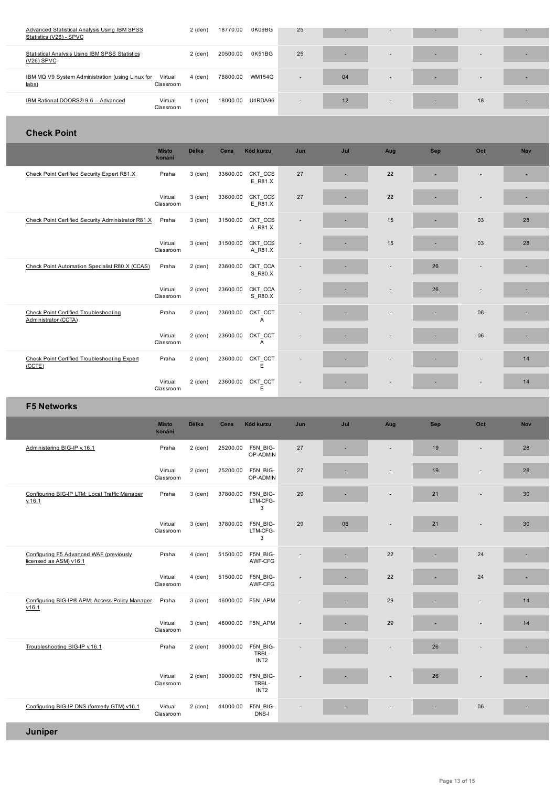| <b>Statistical Analysis Using IBM SPSS Statistics</b><br>$(V26)$ SPVC |                      | $2$ (den) | 20500.00 | 0K51BG  | 25 |    | $\overline{\phantom{a}}$ | $\overline{\phantom{a}}$ |  |
|-----------------------------------------------------------------------|----------------------|-----------|----------|---------|----|----|--------------------------|--------------------------|--|
|                                                                       |                      |           | 78800.00 | WM154G  |    |    |                          |                          |  |
| IBM MQ V9 System Administration (using Linux for<br>$_{\text{labs}}$  | Virtual<br>Classroom | 4 (den)   |          |         |    | 04 | $\overline{\phantom{a}}$ | $\overline{\phantom{a}}$ |  |
| IBM Rational DOORS® 9.6 - Advanced                                    | Virtual<br>Classroom | (den)     | 18000.00 | U4RDA96 |    | 12 | $\overline{\phantom{a}}$ | 18                       |  |

## **Check Point**

|                                                               | <b>Místo</b><br>konání | <b>Délka</b> | Cena     | Kód kurzu                 | Jun                      | Jul | Aug                      | <b>Sep</b> | Oct                      | <b>Nov</b> |
|---------------------------------------------------------------|------------------------|--------------|----------|---------------------------|--------------------------|-----|--------------------------|------------|--------------------------|------------|
| Check Point Certified Security Expert R81.X                   | Praha                  | $3$ (den)    | 33600.00 | CKT CCS<br>E R81.X        | 27                       | ٠   | 22                       |            | $\overline{\phantom{a}}$ |            |
|                                                               | Virtual<br>Classroom   | $3$ (den)    | 33600.00 | CKT CCS<br>E R81.X        | 27                       |     | 22                       |            | ٠                        |            |
| Check Point Certified Security Administrator R81.X            | Praha                  | $3$ (den)    | 31500.00 | CKT CCS<br>A R81.X        | $\overline{\phantom{a}}$ | ٠   | 15                       |            | 03                       | 28         |
|                                                               | Virtual<br>Classroom   | $3$ (den)    | 31500.00 | CKT CCS<br>A R81.X        |                          | ٠   | 15                       |            | 03                       | 28         |
| Check Point Automation Specialist R80.X (CCAS)                | Praha                  | $2$ (den)    | 23600.00 | CKT CCA<br>S R80.X        |                          | ٠   |                          | 26         | $\overline{\phantom{m}}$ |            |
|                                                               | Virtual<br>Classroom   | $2$ (den)    | 23600.00 | CKT_CCA<br>S R80.X        |                          |     | $\overline{\phantom{a}}$ | 26         | $\overline{\phantom{a}}$ |            |
| Check Point Certified Troubleshooting<br>Administrator (CCTA) | Praha                  | $2$ (den)    | 23600.00 | CKT_CCT<br>$\overline{A}$ | $\overline{a}$           | ۰   |                          |            | 06                       |            |
|                                                               | Virtual<br>Classroom   | $2$ (den)    | 23600.00 | CKT_CCT<br>$\overline{A}$ |                          |     |                          |            | 06                       |            |
| Check Point Certified Troubleshooting Expert<br>(CCTE)        | Praha                  | $2$ (den)    | 23600.00 | CKT_CCT<br>E              |                          |     | ٠                        |            | $\overline{a}$           | 14         |
|                                                               | Virtual<br>Classroom   | $2$ (den)    | 23600.00 | CKT_CCT<br>E              |                          |     |                          |            | $\overline{\phantom{a}}$ | 14         |

# **F5 Networks**

|                                                                   | <b>Místo</b><br>konání | <b>Délka</b> | Cena     | Kód kurzu                             | Jun                      | Jul | Aug                      | <b>Sep</b> | Oct                      | <b>Nov</b> |
|-------------------------------------------------------------------|------------------------|--------------|----------|---------------------------------------|--------------------------|-----|--------------------------|------------|--------------------------|------------|
| Administering BIG-IP v.16.1                                       | Praha                  | $2$ (den)    | 25200.00 | F5N BIG-<br>OP-ADMIN                  | 27                       |     |                          | 19         | ٠                        | 28         |
|                                                                   | Virtual<br>Classroom   | $2$ (den)    | 25200.00 | F5N BIG-<br>OP-ADMIN                  | 27                       |     |                          | 19         |                          | 28         |
| Configuring BIG-IP LTM: Local Traffic Manager<br>v.16.1           | Praha                  | $3$ (den)    | 37800.00 | F5N BIG-<br>LTM-CFG-<br>3             | 29                       |     | $\overline{\phantom{a}}$ | 21         | $\overline{\phantom{a}}$ | 30         |
|                                                                   | Virtual<br>Classroom   | $3$ (den)    | 37800.00 | F5N BIG-<br>LTM-CFG-<br>3             | 29                       | 06  |                          | 21         |                          | 30         |
| Configuring F5 Advanced WAF (previously<br>licensed as ASM) v16.1 | Praha                  | $4$ (den)    | 51500.00 | F5N BIG-<br>AWF-CFG                   | $\overline{\phantom{a}}$ | ٠   | 22                       |            | 24                       | ×.         |
|                                                                   | Virtual<br>Classroom   | $4$ (den)    | 51500.00 | F5N BIG-<br>AWF-CFG                   |                          |     | 22                       |            | 24                       |            |
| Configuring BIG-IP® APM: Access Policy Manager<br>v16.1           | Praha                  | $3$ (den)    | 46000.00 | F5N APM                               | $\overline{\phantom{a}}$ |     | 29                       |            | $\overline{a}$           | 14         |
|                                                                   | Virtual<br>Classroom   | $3$ (den)    | 46000.00 | F5N APM                               |                          | ٠   | 29                       |            | $\overline{\phantom{a}}$ | 14         |
| Troubleshooting BIG-IP v.16.1                                     | Praha                  | $2$ (den)    | 39000.00 | F5N BIG-<br>TRBL-<br>INT <sub>2</sub> |                          |     | ٠                        | 26         | $\overline{\phantom{a}}$ | ۰          |
|                                                                   | Virtual<br>Classroom   | $2$ (den)    | 39000.00 | F5N_BIG-<br>TRBL-<br>INT <sub>2</sub> |                          |     |                          | 26         | $\overline{a}$           | ×.         |
| Configuring BIG-IP DNS (formerly GTM) v16.1                       | Virtual<br>Classroom   | $2$ (den)    | 44000.00 | F5N_BIG-<br>DNS-I                     |                          |     |                          |            | 06                       | ٠          |
| <b>Juniper</b>                                                    |                        |              |          |                                       |                          |     |                          |            |                          |            |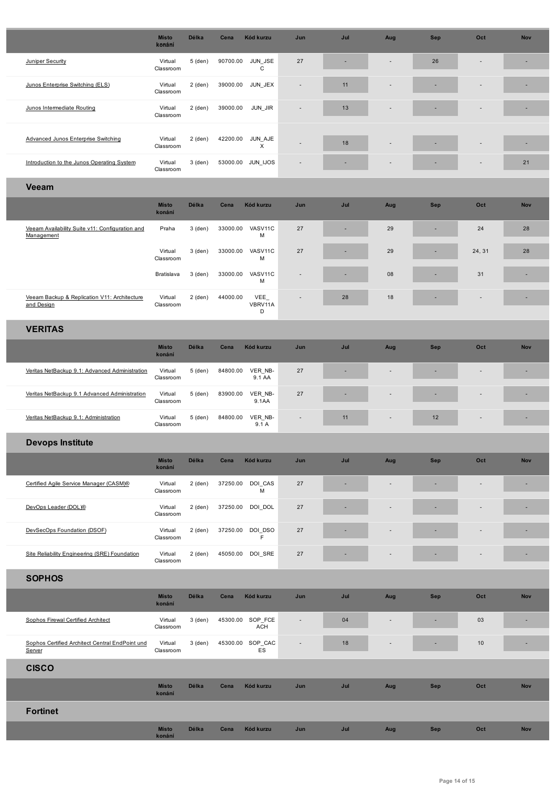| Juniper Security                                              | Virtual<br>Classroom   | 5 (den)   | 90700.00 | JUN JSE<br>$\mathsf{C}$ | 27                       |     |                          | 26         |                          |            |  |  |  |
|---------------------------------------------------------------|------------------------|-----------|----------|-------------------------|--------------------------|-----|--------------------------|------------|--------------------------|------------|--|--|--|
| Junos Enterprise Switching (ELS)                              | Virtual<br>Classroom   | 2 (den)   | 39000.00 | JUN_JEX                 |                          | 11  |                          |            |                          |            |  |  |  |
| Junos Intermediate Routing                                    | Virtual<br>Classroom   | $2$ (den) | 39000.00 | JUN_JIR                 |                          | 13  |                          |            |                          |            |  |  |  |
| Advanced Junos Enterprise Switching                           | Virtual<br>Classroom   | $2$ (den) | 42200.00 | JUN_AJE<br>X            |                          | 18  |                          |            |                          | ×.         |  |  |  |
| Introduction to the Junos Operating System                    | Virtual<br>Classroom   | $3$ (den) | 53000.00 | JUN_IJOS                |                          |     |                          |            |                          | 21         |  |  |  |
| <b>Veeam</b>                                                  |                        |           |          |                         |                          |     |                          |            |                          |            |  |  |  |
|                                                               | <b>Místo</b><br>konání | Délka     | Cena     | Kód kurzu               | Jun                      | Jul | Aug                      | <b>Sep</b> | Oct                      | <b>Nov</b> |  |  |  |
| Veeam Availability Suite v11: Configuration and<br>Management | Praha                  | 3 (den)   | 33000.00 | VASV11C<br>M            | 27                       | ٠   | 29                       | ٠          | 24                       | 28         |  |  |  |
|                                                               | Virtual<br>Classroom   | 3 (den)   | 33000.00 | VASV11C<br>M            | 27                       |     | 29                       |            | 24, 31                   | 28         |  |  |  |
|                                                               | Bratislava             | 3 (den)   | 33000.00 | VASV11C<br>M            |                          |     | 08                       |            | 31                       |            |  |  |  |
| Veeam Backup & Replication V11: Architecture<br>and Design    | Virtual<br>Classroom   | 2 (den)   | 44000.00 | VEE_<br>VBRV11A<br>D    |                          | 28  | 18                       |            | $\overline{\phantom{a}}$ |            |  |  |  |
| <b>VERITAS</b>                                                |                        |           |          |                         |                          |     |                          |            |                          |            |  |  |  |
|                                                               | <b>Místo</b><br>konání | Délka     | Cena     | Kód kurzu               | Jun                      | Jul | Aug                      | <b>Sep</b> | Oct                      | <b>Nov</b> |  |  |  |
| Veritas NetBackup 9.1: Advanced Administration                | Virtual<br>Classroom   | 5 (den)   | 84800.00 | VER NB-<br>9.1 AA       | 27                       |     |                          |            |                          | ٠          |  |  |  |
| Veritas NetBackup 9.1 Advanced Administration                 | Virtual<br>Classroom   | 5 (den)   | 83900.00 | VER NB-<br>9.1AA        | 27                       |     |                          |            |                          | ۳          |  |  |  |
| Veritas NetBackup 9.1: Administration                         | Virtual<br>Classroom   | 5 (den)   | 84800.00 | VER_NB-<br>9.1 A        |                          | 11  |                          | 12         |                          | ٠          |  |  |  |
| <b>Devops Institute</b>                                       |                        |           |          |                         |                          |     |                          |            |                          |            |  |  |  |
|                                                               | <b>Místo</b><br>konání | Délka     | Cena     | Kód kurzu               | Jun                      | Jul | Aug                      | <b>Sep</b> | Oct                      | <b>Nov</b> |  |  |  |
| Certified Agile Service Manager (CASM)®                       | Virtual<br>Classroom   | 2 (den)   | 37250.00 | DOI_CAS<br>M            | 27                       |     |                          |            |                          | ۰          |  |  |  |
| DevOps Leader (DOL)®                                          | Virtual<br>Classroom   | 2 (den)   | 37250.00 | DOI_DOL                 | 27                       |     |                          |            |                          | ۰          |  |  |  |
| DevSecOps Foundation (DSOF)                                   | Virtual<br>Classroom   | $2$ (den) | 37250.00 | DOI_DSO<br>F.           | 27                       |     |                          |            |                          | ٠          |  |  |  |
| Site Reliability Engineering (SRE) Foundation                 | Virtual<br>Classroom   | 2 (den)   | 45050.00 | DOI_SRE                 | 27                       |     |                          |            | ٠                        | ٠          |  |  |  |
| <b>SOPHOS</b>                                                 |                        |           |          |                         |                          |     |                          |            |                          |            |  |  |  |
|                                                               | <b>Místo</b><br>konání | Délka     | Cena     | Kód kurzu               | Jun                      | Jul | Aug                      | Sep        | Oct                      | <b>Nov</b> |  |  |  |
| Sophos Firewal Certified Architect                            | Virtual<br>Classroom   | 3 (den)   | 45300.00 | SOP_FCE<br>ACH          | $\overline{\phantom{a}}$ | 04  | $\overline{\phantom{a}}$ | ٠          | 03                       | ٠          |  |  |  |
| Sophos Certified Architect Central EndPoint und<br>Server     | Virtual<br>Classroom   | 3 (den)   | 45300.00 | SOP_CAC<br>ES           |                          | 18  |                          |            | 10                       | ٠          |  |  |  |
| <b>CISCO</b>                                                  |                        |           |          |                         |                          |     |                          |            |                          |            |  |  |  |
|                                                               | <b>Místo</b><br>konání | Délka     | Cena     | Kód kurzu               | Jun                      | Jul | Aug                      | <b>Sep</b> | Oct                      | <b>Nov</b> |  |  |  |
| <b>Fortinet</b>                                               |                        |           |          |                         |                          |     |                          |            |                          |            |  |  |  |
|                                                               | <b>Místo</b><br>konání | Délka     | Cena     | Kód kurzu               | Jun                      | Jul | Aug                      | Sep        | Oct                      | <b>Nov</b> |  |  |  |

ı

Г